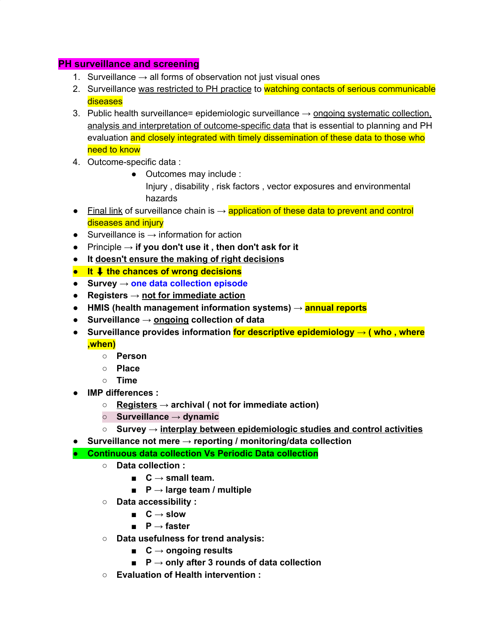## **PH surveillance and screening**

- 1. Surveillance  $\rightarrow$  all forms of observation not just visual ones
- 2. Surveillance was restricted to PH practice to watching contacts of serious communicable **diseases**
- 3. Public health surveillance= epidemiologic surveillance  $\rightarrow$  ongoing systematic collection, analysis and interpretation of outcome-specific data that is essential to planning and PH evaluation and closely integrated with timely dissemination of these data to those who need to know
- 4. Outcome-specific data :
	- Outcomes may include :

Injury , disability , risk factors , vector exposures and environmental hazards

- Final link of surveillance chain is  $\rightarrow$  application of these data to prevent and control diseases and injury
- $\bullet$  Surveillance is  $\rightarrow$  information for action
- Principle → **if you don't use it , then don't ask for it**
- **● It doesn't ensure the making of right decisions**
- **● It** ⬇ **the chances of wrong decisions**
- **● Survey → one data collection episode**
- **● Registers → not for immediate action**
- **● HMIS (health management information systems) → annual reports**
- **● Surveillance → ongoing collection of data**
- **● Surveillance provides information for descriptive epidemiology → ( who , where ,when)**
	- **○ Person**
	- **○ Place**
	- **○ Time**
- **● IMP differences :**
	- **○ Registers → archival ( not for immediate action)**
	- **○ Surveillance → dynamic**
	- **○ Survey → interplay between epidemiologic studies and control activities**
- **● Surveillance not mere → reporting / monitoring/data collection**
- **● Continuous data collection Vs Periodic Data collection**
	- **○ Data collection :**
		- **■ C → small team.**
		- **■ P → large team / multiple**
	- **○ Data accessibility :**
		- **■ C → slow**
		- **■ P → faster**
	- **○ Data usefulness for trend analysis:**
		- **■ C → ongoing results**
		- **■ P → only after 3 rounds of data collection**
	- **○ Evaluation of Health intervention :**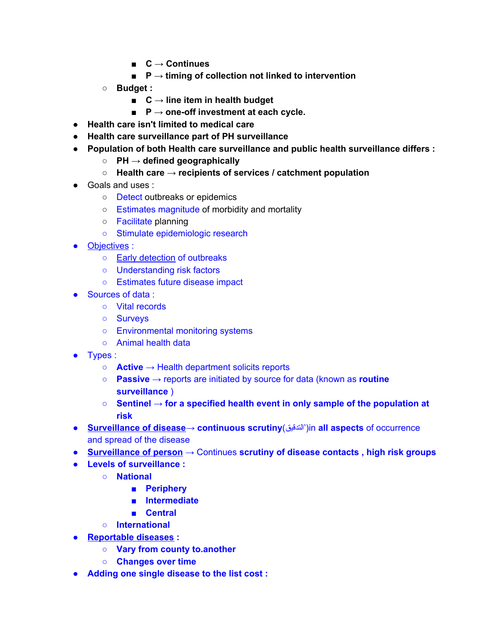- **■ C → Continues**
- **■ P → timing of collection not linked to intervention**
- **○ Budget :**
	- **■ C → line item in health budget**
	- **■ P → one-off investment at each cycle.**
- **● Health care isn't limited to medical care**
- **● Health care surveillance part of PH surveillance**
- **● Population of both Health care surveillance and public health surveillance differs :**
	- **○ PH → defined geographically**
	- **○ Health care → recipients of services / catchment population**
- Goals and uses :
	- Detect outbreaks or epidemics
	- Estimates magnitude of morbidity and mortality
	- Facilitate planning
	- Stimulate epidemiologic research
- Objectives :
	- Early detection of outbreaks
	- Understanding risk factors
	- Estimates future disease impact
- Sources of data :
	- Vital records
	- Surveys
	- Environmental monitoring systems
	- Animal health data
- Types :
	- **Active** → Health department solicits reports
	- **Passive** → reports are initiated by source for data (known as **routine surveillance** )
	- **Sentinel** → **for a specified health event in only sample of the population at risk**
- **Surveillance of disease**→ **continuous scrutiny**(التدقیق('in **all aspects** of occurrence and spread of the disease
- **Surveillance of person** → Continues **scrutiny of disease contacts , high risk groups**
- **● Levels of surveillance :**
	- **○ National**
		- **■ Periphery**
		- **■ Intermediate**
		- **■ Central**
	- **○ International**
- **● Reportable diseases :**
	- **○ Vary from county to.another**
	- **○ Changes over time**
- **● Adding one single disease to the list cost :**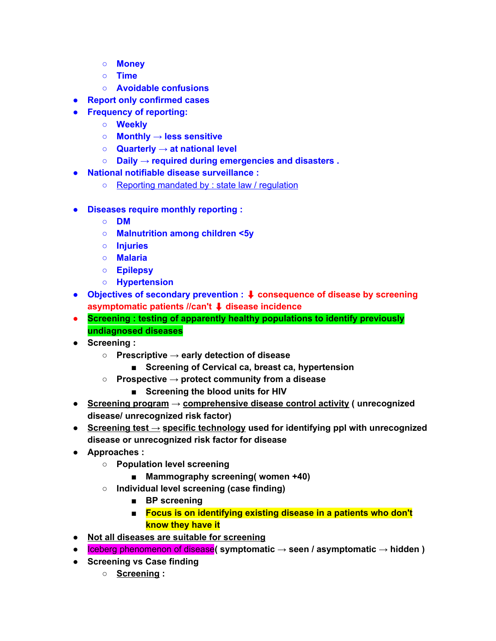- **○ Money**
- **○ Time**
- **○ Avoidable confusions**
- **● Report only confirmed cases**
- **● Frequency of reporting:**
	- **○ Weekly**
	- **○ Monthly → less sensitive**
	- **○ Quarterly → at national level**
	- **○ Daily → required during emergencies and disasters .**
- **● National notifiable disease surveillance :**
	- Reporting mandated by : state law / regulation
- **● Diseases require monthly reporting :**
	- **○ DM**
	- **○ Malnutrition among children <5y**
	- **○ Injuries**
	- **○ Malaria**
	- **○ Epilepsy**
	- **○ Hypertension**
- **● Objectives of secondary prevention :** ⬇ **consequence of disease by screening asymptomatic patients //can't** ⬇ **disease incidence**
- **● Screening : testing of apparently healthy populations to identify previously undiagnosed diseases**
- **● Screening :**
	- **○ Prescriptive → early detection of disease**
		- **■ Screening of Cervical ca, breast ca, hypertension**
	- **○ Prospective → protect community from a disease**
		- **■ Screening the blood units for HIV**
- **● Screening program → comprehensive disease control activity ( unrecognized disease/ unrecognized risk factor)**
- **● Screening test → specific technology used for identifying ppl with unrecognized disease or unrecognized risk factor for disease**
- **● Approaches :**
	- **○ Population level screening**
		- **■ Mammography screening( women +40)**
	- **○ Individual level screening (case finding)**
		- **■ BP screening**
		- **■ Focus is on identifying existing disease in a patients who don't know they have it**
- **● Not all diseases are suitable for screening**
- **●** Iceberg phenomenon of disease**( symptomatic → seen / asymptomatic → hidden )**
- **● Screening vs Case finding**
	- **○ Screening :**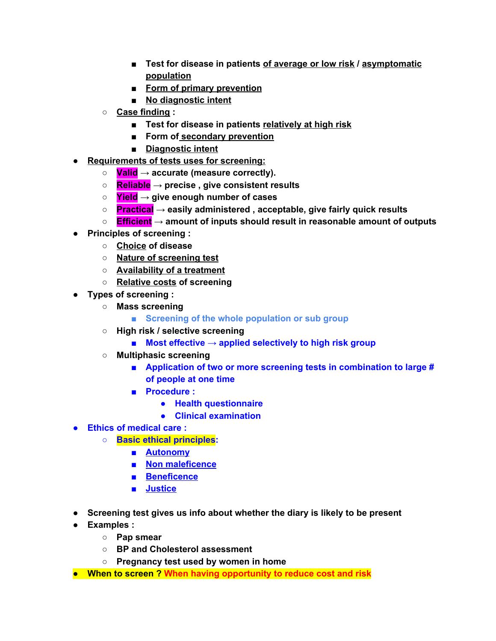- **■ Test for disease in patients of average or low risk / asymptomatic population**
- **■ Form of primary prevention**
- **■ No diagnostic intent**
- **○ Case finding :**
	- **■ Test for disease in patients relatively at high risk**
	- **■ Form of secondary prevention**
	- **■ Diagnostic intent**
- **● Requirements of tests uses for screening:**
	- **○ Valid → accurate (measure correctly).**
	- **○ Reliable → precise , give consistent results**
	- **○ Yield → give enough number of cases**
	- **○ Practical → easily administered , acceptable, give fairly quick results**
	- **○ Efficient → amount of inputs should result in reasonable amount of outputs**
- **● Principles of screening :**
	- **○ Choice of disease**
	- **○ Nature of screening test**
	- **○ Availability of a treatment**
	- **○ Relative costs of screening**
- **● Types of screening :**
	- **○ Mass screening**
		- **■ Screening of the whole population or sub group**
	- **○ High risk / selective screening**
		- **■ Most effective → applied selectively to high risk group**
	- **○ Multiphasic screening**
		- **■ Application of two or more screening tests in combination to large # of people at one time**
		- **■ Procedure :**
			- **● Health questionnaire**
			- **● Clinical examination**
- **● Ethics of medical care :**
	- **○ Basic ethical principles:**
		- **■ Autonomy**
		- **■ Non maleficence**
		- **■ Beneficence**
		- **■ Justice**
- **● Screening test gives us info about whether the diary is likely to be present**
- **● Examples :**
	- **○ Pap smear**
	- **○ BP and Cholesterol assessment**
	- **○ Pregnancy test used by women in home**
- **● When to screen ? When having opportunity to reduce cost and risk**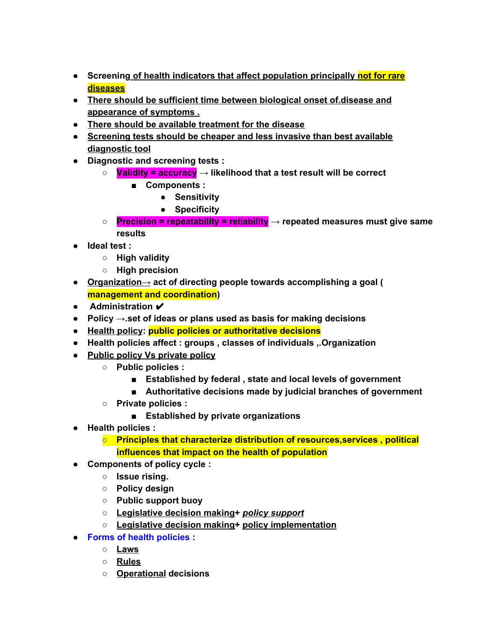- **● Screening of health indicators that affect population principally not for rare diseases**
- **● There should be sufficient time between biological onset of.disease and appearance of symptoms .**
- **● There should be available treatment for the disease**
- **● Screening tests should be cheaper and less invasive than best available diagnostic tool**
- **● Diagnostic and screening tests :**
	- **○ Validity = accuracy → likelihood that a test result will be correct**
		- **■ Components :**
			- **● Sensitivity**
			- **● Specificity**
	- **○ Precision = repeatability = reliability → repeated measures must give same results**
- **● Ideal test :**
	- **○ High validity**
	- **○ High precision**
- **● Organization→ act of directing people towards accomplishing a goal ( management and coordination)**
- **● Administration** ✔
- **● Policy →.set of ideas or plans used as basis for making decisions**
- **● Health policy: public policies or authoritative decisions**
- **● Health policies affect : groups , classes of individuals ,.Organization**
- **● Public policy Vs private policy**
	- **○ Public policies :**
		- **■ Established by federal , state and local levels of government**
		- **■ Authoritative decisions made by judicial branches of government**
	- **○ Private policies :**
		- **■ Established by private organizations**
- **● Health policies :**
	- **○ Principles that characterize distribution of resources,services , political influences that impact on the health of population**
- **● Components of policy cycle :**
	- **○ Issue rising.**
	- **○ Policy design**
	- **○ Public support buoy**
	- **○ Legislative decision making+** *policy support*
	- **○ Legislative decision making+ policy implementation**
- **● Forms of health policies :**
	- **○ Laws**
	- **○ Rules**
	- **○ Operational decisions**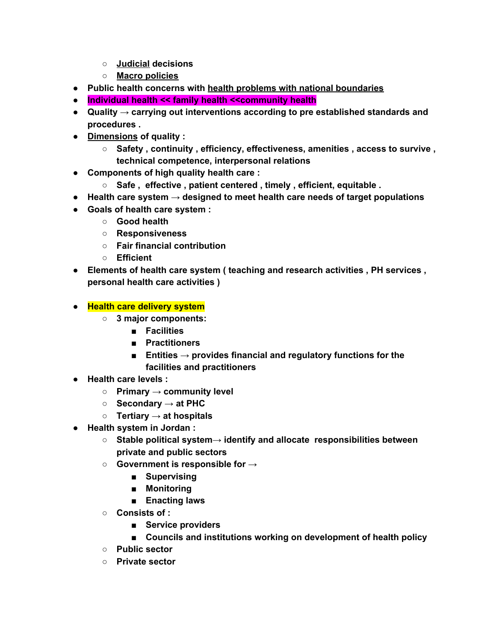- **○ Judicial decisions**
- **○ Macro policies**
- **● Public health concerns with health problems with national boundaries**
- **● Individual health << family health <<community health**
- **● Quality → carrying out interventions according to pre established standards and procedures .**
- **● Dimensions of quality :**
	- **○ Safety , continuity , efficiency, effectiveness, amenities , access to survive , technical competence, interpersonal relations**
- **● Components of high quality health care :**
	- **○ Safe , effective , patient centered , timely , efficient, equitable .**
- **● Health care system → designed to meet health care needs of target populations**
- **● Goals of health care system :**
	- **○ Good health**
	- **○ Responsiveness**
	- **○ Fair financial contribution**
	- **○ Efficient**
- **● Elements of health care system ( teaching and research activities , PH services , personal health care activities )**
- **● Health care delivery system**
	- **○ 3 major components:**
		- **■ Facilities**
		- **■ Practitioners**
		- **■ Entities → provides financial and regulatory functions for the facilities and practitioners**
- **● Health care levels :**
	- **○ Primary → community level**
	- **○ Secondary → at PHC**
	- **○ Tertiary → at hospitals**
- **● Health system in Jordan :**
	- **○ Stable political system→ identify and allocate responsibilities between private and public sectors**
	- **○ Government is responsible for →**
		- **■ Supervising**
		- **■ Monitoring**
		- **■ Enacting laws**
	- **○ Consists of :**
		- **■ Service providers**
		- **■ Councils and institutions working on development of health policy**
	- **○ Public sector**
	- **○ Private sector**